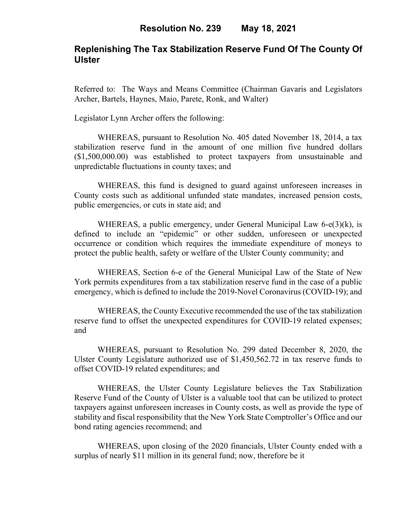### **Replenishing The Tax Stabilization Reserve Fund Of The County Of Ulster**

Referred to: The Ways and Means Committee (Chairman Gavaris and Legislators Archer, Bartels, Haynes, Maio, Parete, Ronk, and Walter)

Legislator Lynn Archer offers the following:

WHEREAS, pursuant to Resolution No. 405 dated November 18, 2014, a tax stabilization reserve fund in the amount of one million five hundred dollars (\$1,500,000.00) was established to protect taxpayers from unsustainable and unpredictable fluctuations in county taxes; and

WHEREAS, this fund is designed to guard against unforeseen increases in County costs such as additional unfunded state mandates, increased pension costs, public emergencies, or cuts in state aid; and

WHEREAS, a public emergency, under General Municipal Law 6-e(3)(k), is defined to include an "epidemic" or other sudden, unforeseen or unexpected occurrence or condition which requires the immediate expenditure of moneys to protect the public health, safety or welfare of the Ulster County community; and

WHEREAS, Section 6-e of the General Municipal Law of the State of New York permits expenditures from a tax stabilization reserve fund in the case of a public emergency, which is defined to include the 2019-Novel Coronavirus (COVID-19); and

WHEREAS, the County Executive recommended the use of the tax stabilization reserve fund to offset the unexpected expenditures for COVID-19 related expenses; and

WHEREAS, pursuant to Resolution No. 299 dated December 8, 2020, the Ulster County Legislature authorized use of \$1,450,562.72 in tax reserve funds to offset COVID-19 related expenditures; and

WHEREAS, the Ulster County Legislature believes the Tax Stabilization Reserve Fund of the County of Ulster is a valuable tool that can be utilized to protect taxpayers against unforeseen increases in County costs, as well as provide the type of stability and fiscal responsibility that the New York State Comptroller's Office and our bond rating agencies recommend; and

WHEREAS, upon closing of the 2020 financials, Ulster County ended with a surplus of nearly \$11 million in its general fund; now, therefore be it